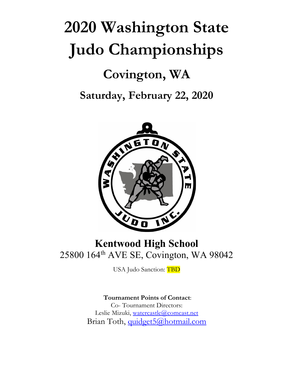# **2020 Washington State Judo Championships Covington, WA Saturday, February 22, 2020**



## **Kentwood High School** 25800 164th AVE SE, Covington, WA 98042

USA Judo Sanction: TBD

**Tournament Points of Contact**: Co- Tournament Directors: Leslie Mizuki, watercastle@comcast.net Brian Toth, quidget5@hotmail.com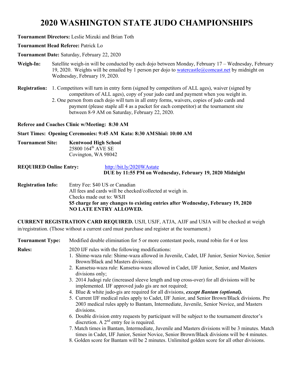### **2020 WASHINGTON STATE JUDO CHAMPIONSHIPS**

**Tournament Directors:** Leslie Mizuki and Brian Toth

#### **Tournament Head Referee:** Patrick Lo

**Tournament Date:** Saturday, February 22, 2020

- **Weigh-In:** Satellite weigh-in will be conducted by each dojo between Monday, February 17 Wednesday, February 19, 2020. Weights will be emailed by 1 person per dojo to watercastle  $@$ comcast.net by midnight on Wednesday, February 19, 2020.
- **Registration:** 1. Competitors will turn in entry form (signed by competitors of ALL ages), waiver (signed by competitors of ALL ages), copy of your judo card and payment when you weight in.
	- 2. One person from each dojo will turn in all entry forms, waivers, copies of judo cards and payment (please staple all 4 as a packet for each competitor) at the tournament site between 8-9 AM on Saturday, February 22, 2020.

**Referee and Coaches Clinic w/Meeting: 8:30 AM**

**Start Times: Opening Ceremonies: 9:45 AM Kata: 8:30 AMShiai: 10:00 AM** 

- **Tournament Site: Kentwood High School** 25800 164th AVE SE Covington, WA 98042
- **REQUIRED Online Entry:** http://bit.ly/2020WAstate **DUE by 11:55 PM on Wednesday, February 19, 2020 Midnight**
- **Registration Info:** Entry Fee: \$40 US or Canadian All fees and cards will be checked/collected at weigh in. Checks made out to: WSJI **\$5 charge for any changes to existing entries after Wednesday, February 19, 2020 NO LATE ENTRY ALLOWED.**

**CURRENT REGISTRATION CARD REQUIRED.** USJI, USJF, ATJA, AJJF and USJA will be checked at weigh in/registration. (Those without a current card must purchase and register at the tournament.)

| <b>Tournament Type:</b> | Modified double elimination for 5 or more contestant pools, round robin for 4 or less                                                                                                                  |
|-------------------------|--------------------------------------------------------------------------------------------------------------------------------------------------------------------------------------------------------|
| <b>Rules:</b>           | 2020 IJF rules with the following modifications:<br>1. Shime-waza rule: Shime-waza allowed in Juvenile, Cadet, IJF Junior, Senior Novice, Senior<br>Brown/Black and Masters divisions;                 |
|                         | 2. Kansetsu-waza rule: Kansetsu-waza allowed in Cadet, IJF Junior, Senior, and Masters<br>divisions only;                                                                                              |
|                         | 3. 2014 Judogi rule (increased sleeve length and top cross-over) for all divisions will be<br>implemented. IJF approved judo gis are not required;                                                     |
|                         | 4. Blue & white judo-gis are required for all divisions, <i>except Bantam (optional)</i> .                                                                                                             |
|                         | 5. Current IJF medical rules apply to Cadet, IJF Junior, and Senior Brown/Black divisions. Pre<br>2003 medical rules apply to Bantam, Intermediate, Juvenile, Senior Novice, and Masters<br>divisions. |
|                         | 6. Double division entry requests by participant will be subject to the tournament director's<br>discretion. A $2nd$ entry fee is required.                                                            |
|                         | 7. Match times in Bantam, Intermediate, Juvenile and Masters divisions will be 3 minutes. Match<br>times in Cadet, IJF Junior, Senior Novice, Senior Brown/Black divisions will be 4 minutes.          |
|                         | 8. Golden score for Bantam will be 2 minutes. Unlimited golden score for all other divisions.                                                                                                          |